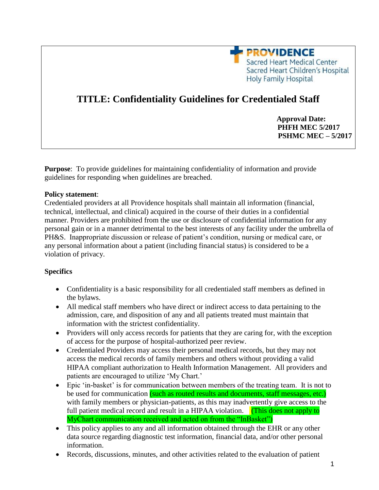

# **TITLE: Confidentiality Guidelines for Credentialed Staff**

 **Approval Date: PHFH MEC 5/2017 PSHMC MEC – 5/2017**

**Purpose**: To provide guidelines for maintaining confidentiality of information and provide guidelines for responding when guidelines are breached.

#### **Policy statement**:

Credentialed providers at all Providence hospitals shall maintain all information (financial, technical, intellectual, and clinical) acquired in the course of their duties in a confidential manner. Providers are prohibited from the use or disclosure of confidential information for any personal gain or in a manner detrimental to the best interests of any facility under the umbrella of PH&S. Inappropriate discussion or release of patient's condition, nursing or medical care, or any personal information about a patient (including financial status) is considered to be a violation of privacy.

#### **Specifics**

- Confidentiality is a basic responsibility for all credentialed staff members as defined in the bylaws.
- All medical staff members who have direct or indirect access to data pertaining to the admission, care, and disposition of any and all patients treated must maintain that information with the strictest confidentiality.
- Providers will only access records for patients that they are caring for, with the exception of access for the purpose of hospital-authorized peer review.
- Credentialed Providers may access their personal medical records, but they may not access the medical records of family members and others without providing a valid HIPAA compliant authorization to Health Information Management. All providers and patients are encouraged to utilize 'My Chart.'
- Epic 'in-basket' is for communication between members of the treating team. It is not to be used for communication (such as routed results and documents, staff messages, etc.) with family members or physician-patients, as this may inadvertently give access to the full patient medical record and result in a HIPAA violation. **(This does not apply to** MyChart communication received and acted on from the "InBasket")
- This policy applies to any and all information obtained through the EHR or any other data source regarding diagnostic test information, financial data, and/or other personal information.
- Records, discussions, minutes, and other activities related to the evaluation of patient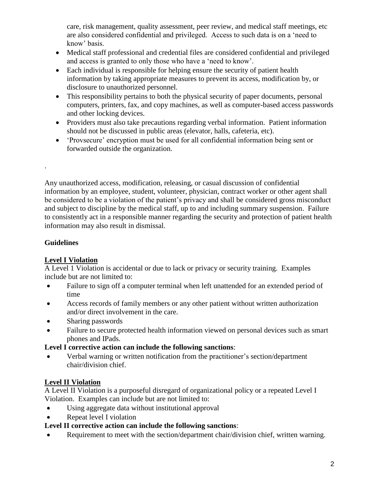care, risk management, quality assessment, peer review, and medical staff meetings, etc are also considered confidential and privileged. Access to such data is on a 'need to know' basis.

- Medical staff professional and credential files are considered confidential and privileged and access is granted to only those who have a 'need to know'.
- Each individual is responsible for helping ensure the security of patient health information by taking appropriate measures to prevent its access, modification by, or disclosure to unauthorized personnel.
- This responsibility pertains to both the physical security of paper documents, personal computers, printers, fax, and copy machines, as well as computer-based access passwords and other locking devices.
- Providers must also take precautions regarding verbal information. Patient information should not be discussed in public areas (elevator, halls, cafeteria, etc).
- 'Provsecure' encryption must be used for all confidential information being sent or forwarded outside the organization.

Any unauthorized access, modification, releasing, or casual discussion of confidential information by an employee, student, volunteer, physician, contract worker or other agent shall be considered to be a violation of the patient's privacy and shall be considered gross misconduct and subject to discipline by the medical staff, up to and including summary suspension. Failure to consistently act in a responsible manner regarding the security and protection of patient health information may also result in dismissal.

# **Guidelines**

.

## **Level I Violation**

A Level 1 Violation is accidental or due to lack or privacy or security training. Examples include but are not limited to:

- Failure to sign off a computer terminal when left unattended for an extended period of time
- Access records of family members or any other patient without written authorization and/or direct involvement in the care.
- Sharing passwords
- Failure to secure protected health information viewed on personal devices such as smart phones and IPads.

## **Level I corrective action can include the following sanctions**:

 Verbal warning or written notification from the practitioner's section/department chair/division chief.

# **Level II Violation**

A Level II Violation is a purposeful disregard of organizational policy or a repeated Level I Violation. Examples can include but are not limited to:

- Using aggregate data without institutional approval
- Repeat level I violation

# **Level II corrective action can include the following sanctions**:

Requirement to meet with the section/department chair/division chief, written warning.